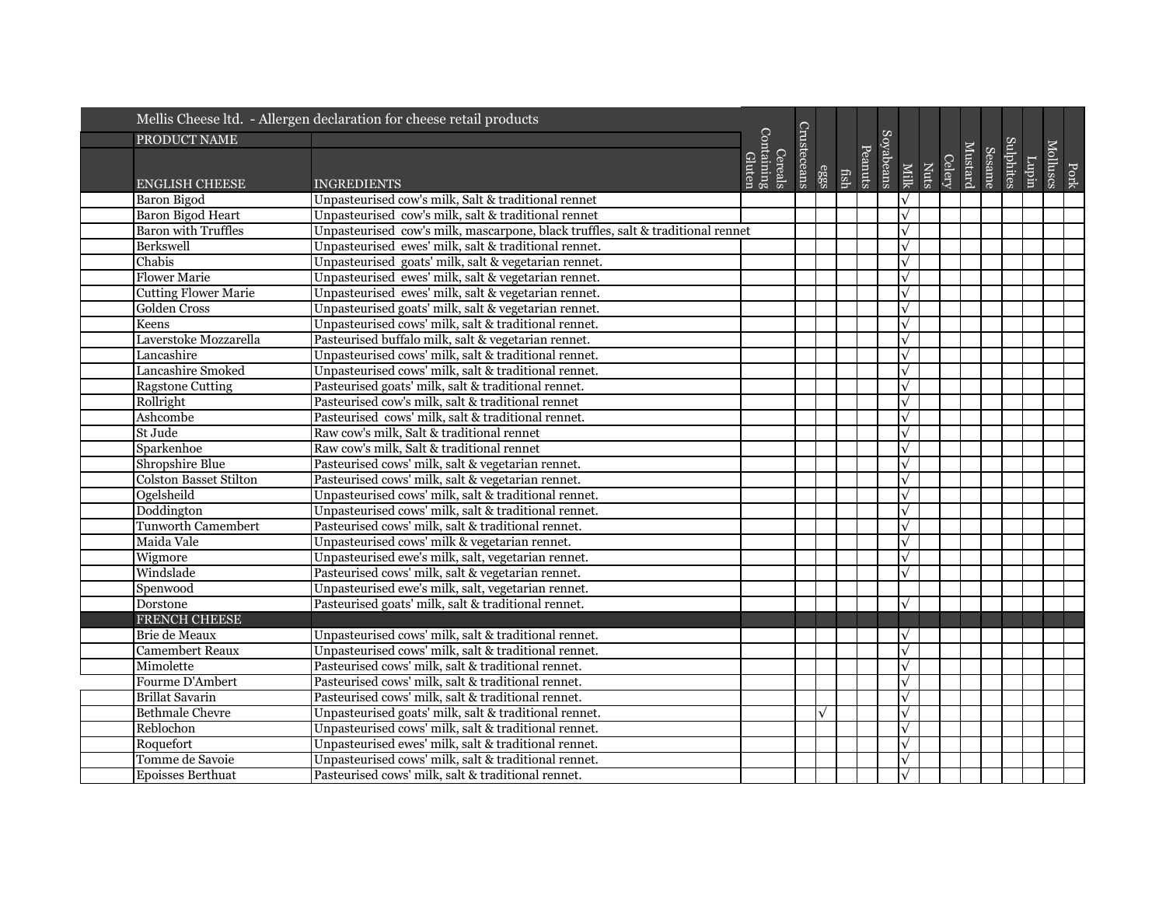|                               | Mellis Cheese ltd. - Allergen declaration for cheese retail products            |                                 |             |           |      |         |           |              |      |        |         |                            |       |          |      |
|-------------------------------|---------------------------------------------------------------------------------|---------------------------------|-------------|-----------|------|---------|-----------|--------------|------|--------|---------|----------------------------|-------|----------|------|
| PRODUCT NAME                  |                                                                                 |                                 |             |           |      |         |           |              |      |        |         |                            |       |          |      |
|                               |                                                                                 | Containing<br>Cereals<br>Gluten | Crusteceans |           |      | Peanuts | Soyabeans |              |      | Celery | Mustard | Sulphites<br><b>Sesame</b> | Lupin | Molluscs |      |
| ENGLISH CHEESE                | <b>INGREDIENTS</b>                                                              |                                 |             | eggs      | fish |         |           | Milk         | Nuts |        |         |                            |       |          | Pork |
| Baron Bigod                   | Unpasteurised cow's milk, Salt & traditional rennet                             |                                 |             |           |      |         |           | $\sqrt{}$    |      |        |         |                            |       |          |      |
| <b>Baron Bigod Heart</b>      | Unpasteurised cow's milk, salt & traditional rennet                             |                                 |             |           |      |         |           | $\sqrt{}$    |      |        |         |                            |       |          |      |
| <b>Baron with Truffles</b>    | Unpasteurised cow's milk, mascarpone, black truffles, salt & traditional rennet |                                 |             |           |      |         |           | $\sqrt{}$    |      |        |         |                            |       |          |      |
| Berkswell                     | Unpasteurised ewes' milk, salt & traditional rennet.                            |                                 |             |           |      |         |           | $\sqrt{}$    |      |        |         |                            |       |          |      |
| Chabis                        | Unpasteurised goats' milk, salt & vegetarian rennet.                            |                                 |             |           |      |         |           | $\sqrt{}$    |      |        |         |                            |       |          |      |
| <b>Flower Marie</b>           | Unpasteurised ewes' milk, salt & vegetarian rennet.                             |                                 |             |           |      |         |           | $\checkmark$ |      |        |         |                            |       |          |      |
| <b>Cutting Flower Marie</b>   | Unpasteurised ewes' milk, salt & vegetarian rennet.                             |                                 |             |           |      |         |           | $\sqrt{ }$   |      |        |         |                            |       |          |      |
| Golden Cross                  | Unpasteurised goats' milk, salt & vegetarian rennet.                            |                                 |             |           |      |         |           | $\sqrt{}$    |      |        |         |                            |       |          |      |
| Keens                         | Unpasteurised cows' milk, salt & traditional rennet.                            |                                 |             |           |      |         |           | $\sqrt{}$    |      |        |         |                            |       |          |      |
| Laverstoke Mozzarella         | Pasteurised buffalo milk, salt & vegetarian rennet.                             |                                 |             |           |      |         |           | $\sqrt{}$    |      |        |         |                            |       |          |      |
| Lancashire                    | Unpasteurised cows' milk, salt & traditional rennet.                            |                                 |             |           |      |         |           | $\sqrt{}$    |      |        |         |                            |       |          |      |
| Lancashire Smoked             | Unpasteurised cows' milk, salt & traditional rennet.                            |                                 |             |           |      |         |           | $\sqrt{}$    |      |        |         |                            |       |          |      |
| <b>Ragstone Cutting</b>       | Pasteurised goats' milk, salt & traditional rennet.                             |                                 |             |           |      |         |           | $\sqrt{}$    |      |        |         |                            |       |          |      |
| Rollright                     | Pasteurised cow's milk, salt & traditional rennet                               |                                 |             |           |      |         |           | $\sqrt{}$    |      |        |         |                            |       |          |      |
| Ashcombe                      | Pasteurised cows' milk, salt & traditional rennet.                              |                                 |             |           |      |         |           | $\sqrt{}$    |      |        |         |                            |       |          |      |
| St Jude                       | Raw cow's milk, Salt & traditional rennet                                       |                                 |             |           |      |         |           | $\sqrt{}$    |      |        |         |                            |       |          |      |
| Sparkenhoe                    | Raw cow's milk. Salt & traditional rennet                                       |                                 |             |           |      |         |           | $\sqrt{}$    |      |        |         |                            |       |          |      |
| Shropshire Blue               | Pasteurised cows' milk, salt & vegetarian rennet.                               |                                 |             |           |      |         |           | $\sqrt{}$    |      |        |         |                            |       |          |      |
| <b>Colston Basset Stilton</b> | Pasteurised cows' milk, salt & vegetarian rennet.                               |                                 |             |           |      |         |           | $\checkmark$ |      |        |         |                            |       |          |      |
| Ogelsheild                    | Unpasteurised cows' milk, salt & traditional rennet.                            |                                 |             |           |      |         |           | $\sqrt{}$    |      |        |         |                            |       |          |      |
| Doddington                    | Unpasteurised cows' milk, salt & traditional rennet.                            |                                 |             |           |      |         |           | $\sqrt{ }$   |      |        |         |                            |       |          |      |
| <b>Tunworth Camembert</b>     | Pasteurised cows' milk, salt & traditional rennet.                              |                                 |             |           |      |         |           | $\sqrt{}$    |      |        |         |                            |       |          |      |
| Maida Vale                    | Unpasteurised cows' milk & vegetarian rennet.                                   |                                 |             |           |      |         |           | $\checkmark$ |      |        |         |                            |       |          |      |
| Wigmore                       | Unpasteurised ewe's milk, salt, vegetarian rennet.                              |                                 |             |           |      |         |           | $\sqrt{}$    |      |        |         |                            |       |          |      |
| Windslade                     | Pasteurised cows' milk, salt & vegetarian rennet.                               |                                 |             |           |      |         |           | $\sqrt{}$    |      |        |         |                            |       |          |      |
| Spenwood                      | Unpasteurised ewe's milk, salt, vegetarian rennet.                              |                                 |             |           |      |         |           |              |      |        |         |                            |       |          |      |
| Dorstone                      | Pasteurised goats' milk, salt & traditional rennet.                             |                                 |             |           |      |         |           | $\sqrt{}$    |      |        |         |                            |       |          |      |
| <b>FRENCH CHEESE</b>          |                                                                                 |                                 |             |           |      |         |           |              |      |        |         |                            |       |          |      |
| Brie de Meaux                 | Unpasteurised cows' milk, salt & traditional rennet.                            |                                 |             |           |      |         |           | $\sqrt{}$    |      |        |         |                            |       |          |      |
| <b>Camembert Reaux</b>        | Unpasteurised cows' milk, salt & traditional rennet.                            |                                 |             |           |      |         |           | $\sqrt{}$    |      |        |         |                            |       |          |      |
| Mimolette                     | Pasteurised cows' milk, salt & traditional rennet.                              |                                 |             |           |      |         |           | $\sqrt{}$    |      |        |         |                            |       |          |      |
| Fourme D'Ambert               | Pasteurised cows' milk, salt & traditional rennet.                              |                                 |             |           |      |         |           | $\sqrt{}$    |      |        |         |                            |       |          |      |
| <b>Brillat Savarin</b>        | Pasteurised cows' milk, salt & traditional rennet.                              |                                 |             |           |      |         |           | $\sqrt{}$    |      |        |         |                            |       |          |      |
| <b>Bethmale Chevre</b>        | Unpasteurised goats' milk, salt & traditional rennet.                           |                                 |             | $\sqrt{}$ |      |         |           | $\sqrt{}$    |      |        |         |                            |       |          |      |
| Reblochon                     | Unpasteurised cows' milk, salt & traditional rennet.                            |                                 |             |           |      |         |           | $\sqrt{ }$   |      |        |         |                            |       |          |      |
| Roquefort                     | Unpasteurised ewes' milk, salt & traditional rennet.                            |                                 |             |           |      |         |           | $\sqrt{}$    |      |        |         |                            |       |          |      |
| Tomme de Savoie               | Unpasteurised cows' milk, salt & traditional rennet.                            |                                 |             |           |      |         |           | $\checkmark$ |      |        |         |                            |       |          |      |
| Epoisses Berthuat             | Pasteurised cows' milk, salt & traditional rennet.                              |                                 |             |           |      |         |           |              |      |        |         |                            |       |          |      |
|                               |                                                                                 |                                 |             |           |      |         |           |              |      |        |         |                            |       |          |      |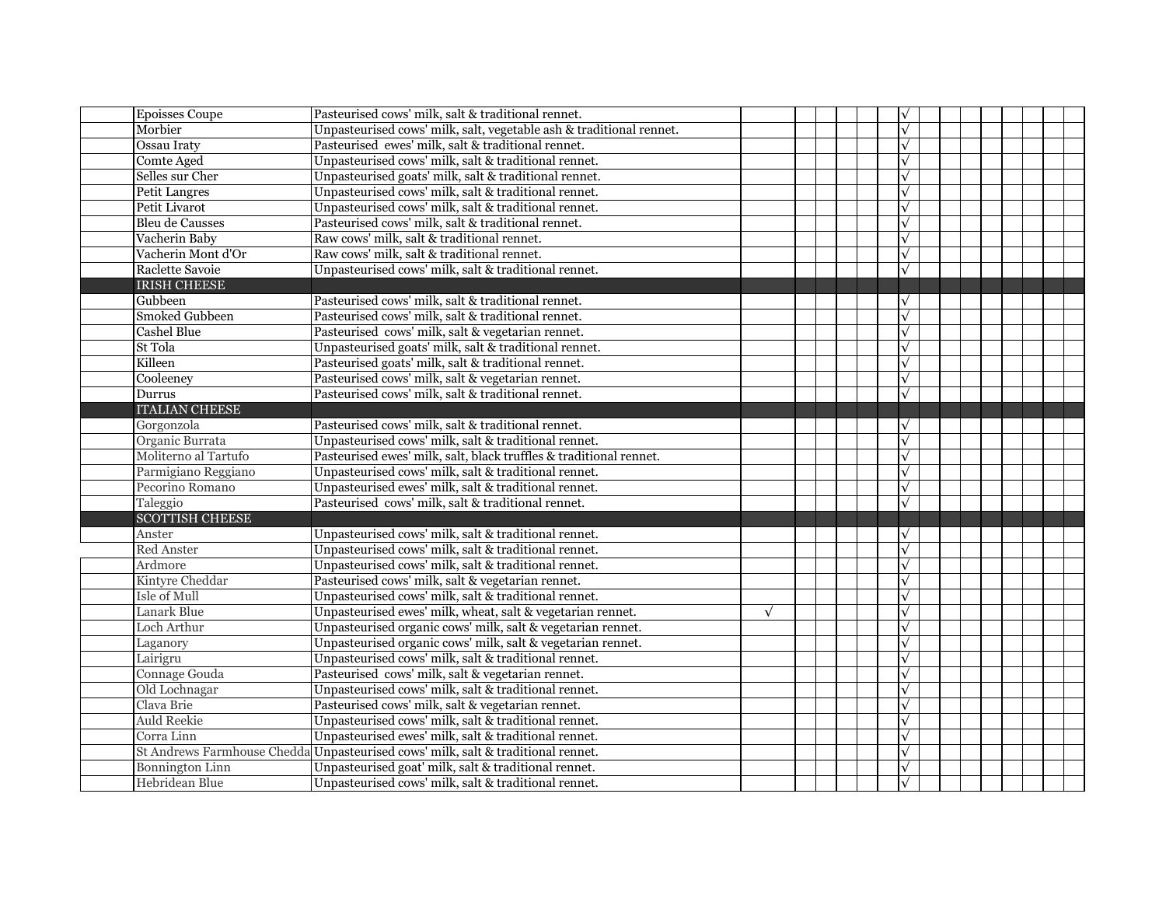| <b>Epoisses Coupe</b>  | Pasteurised cows' milk, salt & traditional rennet.                               |            |  | $\sqrt{ }$   |  |  |  |
|------------------------|----------------------------------------------------------------------------------|------------|--|--------------|--|--|--|
| Morbier                | Unpasteurised cows' milk, salt, vegetable ash & traditional rennet.              |            |  | $\sqrt{}$    |  |  |  |
| Ossau Iraty            | Pasteurised ewes' milk, salt & traditional rennet.                               |            |  | $\sqrt{}$    |  |  |  |
| Comte Aged             | Unpasteurised cows' milk, salt & traditional rennet.                             |            |  | $\sqrt{}$    |  |  |  |
| Selles sur Cher        | Unpasteurised goats' milk, salt & traditional rennet.                            |            |  | $\sqrt{}$    |  |  |  |
| <b>Petit Langres</b>   | Unpasteurised cows' milk, salt & traditional rennet.                             |            |  | $\sqrt{}$    |  |  |  |
| Petit Livarot          | Unpasteurised cows' milk, salt & traditional rennet.                             |            |  | $\sqrt{}$    |  |  |  |
| <b>Bleu</b> de Causses | Pasteurised cows' milk, salt & traditional rennet.                               |            |  | $\checkmark$ |  |  |  |
| Vacherin Baby          | Raw cows' milk, salt & traditional rennet.                                       |            |  | $\checkmark$ |  |  |  |
| Vacherin Mont d'Or     | Raw cows' milk, salt & traditional rennet.                                       |            |  | $\sqrt{}$    |  |  |  |
| Raclette Savoie        | Unpasteurised cows' milk, salt & traditional rennet.                             |            |  | $\sqrt{}$    |  |  |  |
| <b>IRISH CHEESE</b>    |                                                                                  |            |  |              |  |  |  |
| Gubbeen                | Pasteurised cows' milk, salt & traditional rennet.                               |            |  | $\sqrt{}$    |  |  |  |
| <b>Smoked Gubbeen</b>  | Pasteurised cows' milk, salt & traditional rennet.                               |            |  | $\sqrt{}$    |  |  |  |
| <b>Cashel Blue</b>     | Pasteurised cows' milk, salt & vegetarian rennet.                                |            |  | $\sqrt{}$    |  |  |  |
| St Tola                | Unpasteurised goats' milk, salt & traditional rennet.                            |            |  | $\sqrt{}$    |  |  |  |
| Killeen                | Pasteurised goats' milk, salt & traditional rennet.                              |            |  | $\sqrt{}$    |  |  |  |
| Cooleeney              | Pasteurised cows' milk, salt & vegetarian rennet.                                |            |  | $\sqrt{}$    |  |  |  |
| Durrus                 | Pasteurised cows' milk, salt & traditional rennet.                               |            |  | $\sqrt{}$    |  |  |  |
| <b>ITALIAN CHEESE</b>  |                                                                                  |            |  |              |  |  |  |
| Gorgonzola             | Pasteurised cows' milk, salt & traditional rennet.                               |            |  | $\checkmark$ |  |  |  |
| Organic Burrata        | Unpasteurised cows' milk, salt & traditional rennet.                             |            |  | $\sqrt{}$    |  |  |  |
| Moliterno al Tartufo   | Pasteurised ewes' milk, salt, black truffles & traditional rennet.               |            |  | $\checkmark$ |  |  |  |
| Parmigiano Reggiano    | Unpasteurised cows' milk, salt & traditional rennet.                             |            |  | $\sqrt{}$    |  |  |  |
| Pecorino Romano        | Unpasteurised ewes' milk, salt & traditional rennet.                             |            |  | $\sqrt{}$    |  |  |  |
| Taleggio               | Pasteurised cows' milk, salt & traditional rennet.                               |            |  | $\checkmark$ |  |  |  |
| <b>SCOTTISH CHEESE</b> |                                                                                  |            |  |              |  |  |  |
| Anster                 | Unpasteurised cows' milk, salt & traditional rennet.                             |            |  | $\checkmark$ |  |  |  |
| <b>Red Anster</b>      | Unpasteurised cows' milk, salt & traditional rennet.                             |            |  | $\sqrt{}$    |  |  |  |
| Ardmore                | Unpasteurised cows' milk, salt & traditional rennet.                             |            |  | $\sqrt{}$    |  |  |  |
| Kintyre Cheddar        | Pasteurised cows' milk, salt & vegetarian rennet.                                |            |  | $\checkmark$ |  |  |  |
| Isle of Mull           | Unpasteurised cows' milk, salt & traditional rennet.                             |            |  | $\checkmark$ |  |  |  |
| Lanark Blue            | Unpasteurised ewes' milk, wheat, salt & vegetarian rennet.                       | $\sqrt{ }$ |  | $\sqrt{}$    |  |  |  |
| Loch Arthur            | Unpasteurised organic cows' milk, salt & vegetarian rennet.                      |            |  | $\sqrt{}$    |  |  |  |
| Laganory               | Unpasteurised organic cows' milk, salt & vegetarian rennet.                      |            |  | $\checkmark$ |  |  |  |
| Lairigru               | Unpasteurised cows' milk, salt & traditional rennet.                             |            |  | $\sqrt{}$    |  |  |  |
| Connage Gouda          | Pasteurised cows' milk, salt & vegetarian rennet.                                |            |  | $\sqrt{}$    |  |  |  |
| Old Lochnagar          | Unpasteurised cows' milk, salt & traditional rennet.                             |            |  | $\sqrt{}$    |  |  |  |
| Clava Brie             | Pasteurised cows' milk, salt & vegetarian rennet.                                |            |  | $\checkmark$ |  |  |  |
| <b>Auld Reekie</b>     | Unpasteurised cows' milk, salt & traditional rennet.                             |            |  | $\sqrt{}$    |  |  |  |
| Corra Linn             | Unpasteurised ewes' milk, salt & traditional rennet.                             |            |  | $\checkmark$ |  |  |  |
|                        | St Andrews Farmhouse Chedda Unpasteurised cows' milk, salt & traditional rennet. |            |  | $\sqrt{}$    |  |  |  |
| <b>Bonnington Linn</b> | Unpasteurised goat' milk, salt & traditional rennet.                             |            |  | $\checkmark$ |  |  |  |
| Hebridean Blue         | Unpasteurised cows' milk, salt & traditional rennet.                             |            |  | $\checkmark$ |  |  |  |
|                        |                                                                                  |            |  |              |  |  |  |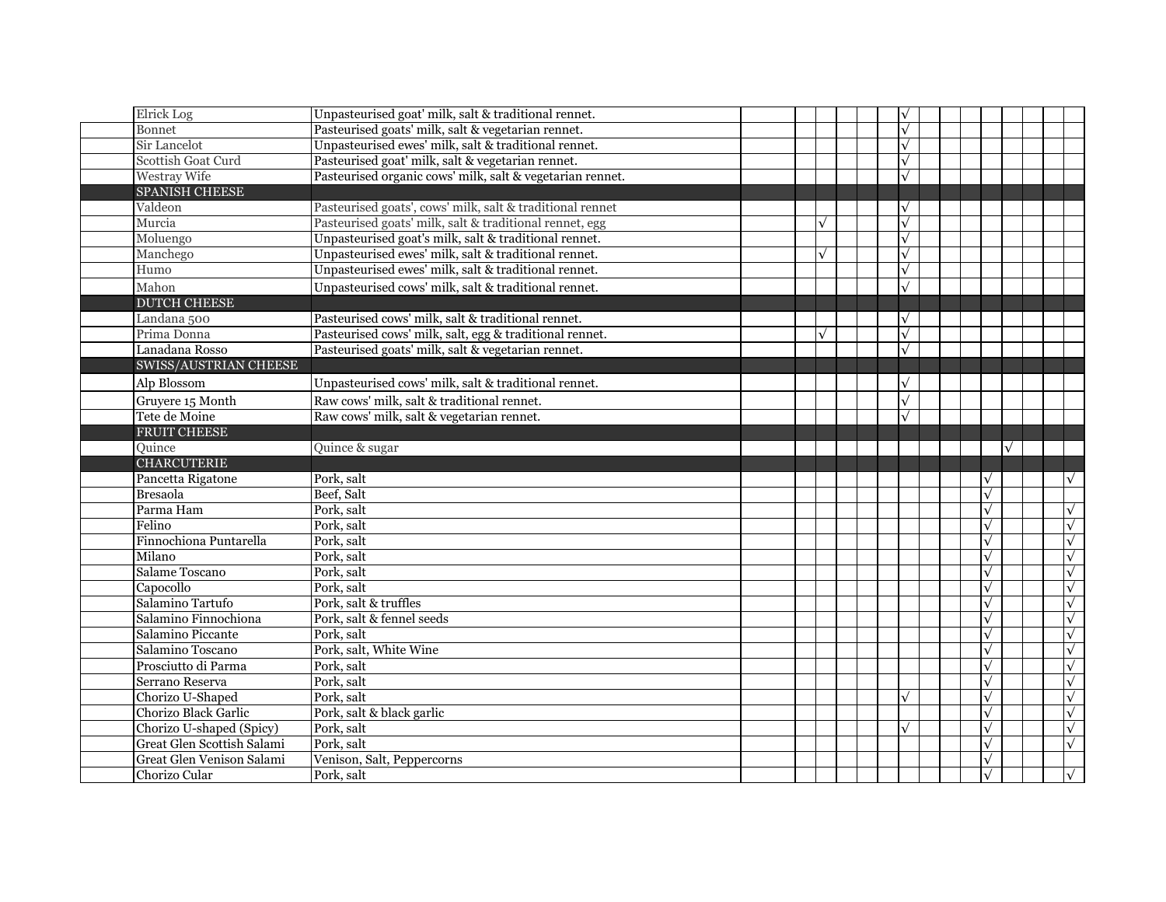| Elrick Log                                 | Unpasteurised goat' milk, salt & traditional rennet.      |  |           |  | $\sqrt{}$  |  |                           |            |
|--------------------------------------------|-----------------------------------------------------------|--|-----------|--|------------|--|---------------------------|------------|
| Bonnet                                     | Pasteurised goats' milk, salt & vegetarian rennet.        |  |           |  | $\sqrt{ }$ |  |                           |            |
| Sir Lancelot                               | Unpasteurised ewes' milk, salt & traditional rennet.      |  |           |  | $\sqrt{ }$ |  |                           |            |
| Scottish Goat Curd                         | Pasteurised goat' milk, salt & vegetarian rennet.         |  |           |  | $\sqrt{}$  |  |                           |            |
| Westray Wife                               | Pasteurised organic cows' milk, salt & vegetarian rennet. |  |           |  | $\sqrt{}$  |  |                           |            |
| <b>SPANISH CHEESE</b>                      |                                                           |  |           |  |            |  |                           |            |
| Valdeon                                    | Pasteurised goats', cows' milk, salt & traditional rennet |  |           |  |            |  |                           |            |
| Murcia                                     | Pasteurised goats' milk, salt & traditional rennet, egg   |  | $\sqrt{}$ |  | $\sqrt{}$  |  |                           |            |
| Moluengo                                   | Unpasteurised goat's milk, salt & traditional rennet.     |  |           |  | $\sqrt{}$  |  |                           |            |
| Manchego                                   | Unpasteurised ewes' milk, salt & traditional rennet.      |  | $\sqrt{}$ |  | $\sqrt{}$  |  |                           |            |
| Humo                                       | Unpasteurised ewes' milk, salt & traditional rennet.      |  |           |  | $\sqrt{}$  |  |                           |            |
| Mahon                                      | Unpasteurised cows' milk, salt & traditional rennet.      |  |           |  | $\sqrt{}$  |  |                           |            |
| <b>DUTCH CHEESE</b>                        |                                                           |  |           |  |            |  |                           |            |
| Landana 500                                | Pasteurised cows' milk, salt & traditional rennet.        |  |           |  | $\sqrt{ }$ |  |                           |            |
| Prima Donna                                | Pasteurised cows' milk, salt, egg & traditional rennet.   |  | $\sqrt{}$ |  | $\sqrt{}$  |  |                           |            |
| Lanadana Rosso                             | Pasteurised goats' milk, salt & vegetarian rennet.        |  |           |  | $\sqrt{}$  |  |                           |            |
| SWISS/AUSTRIAN CHEESE                      |                                                           |  |           |  |            |  |                           |            |
| Alp Blossom                                | Unpasteurised cows' milk, salt & traditional rennet.      |  |           |  | $\sqrt{}$  |  |                           |            |
| Gruyere 15 Month                           | Raw cows' milk, salt & traditional rennet.                |  |           |  | $\sqrt{2}$ |  |                           |            |
| Tete de Moine                              | Raw cows' milk, salt & vegetarian rennet.                 |  |           |  | $\sqrt{}$  |  |                           |            |
| <b>FRUIT CHEESE</b>                        |                                                           |  |           |  |            |  |                           |            |
| Quince                                     | Quince & sugar                                            |  |           |  |            |  | $\sqrt{}$                 |            |
| <b>CHARCUTERIE</b>                         |                                                           |  |           |  |            |  |                           |            |
|                                            |                                                           |  |           |  |            |  |                           |            |
| Pancetta Rigatone                          | Pork, salt                                                |  |           |  |            |  | $\checkmark$              | $\sqrt{ }$ |
| <b>Bresaola</b>                            | Beef, Salt                                                |  |           |  |            |  | $\sqrt{}$                 |            |
| Parma Ham                                  | Pork, salt                                                |  |           |  |            |  |                           | $\sqrt{}$  |
| Felino                                     | Pork, salt                                                |  |           |  |            |  | $\checkmark$              | $\sqrt{}$  |
| Finnochiona Puntarella                     | Pork, salt                                                |  |           |  |            |  | $\sqrt{}$                 | $\sqrt{}$  |
| Milano                                     | Pork, salt                                                |  |           |  |            |  | $\sqrt{}$                 | $\sqrt{}$  |
| Salame Toscano                             | Pork, salt                                                |  |           |  |            |  | $\sqrt{}$                 | $\sqrt{ }$ |
| Capocollo                                  | Pork, salt                                                |  |           |  |            |  | $\sqrt{}$                 | $\sqrt{}$  |
| Salamino Tartufo                           | Pork, salt & truffles                                     |  |           |  |            |  | $\sqrt{}$                 | $\sqrt{}$  |
| Salamino Finnochiona                       | Pork, salt & fennel seeds                                 |  |           |  |            |  | $\sqrt{}$                 | $\sqrt{ }$ |
| Salamino Piccante                          | Pork, salt                                                |  |           |  |            |  | $\checkmark$              | $\sqrt{}$  |
| Salamino Toscano                           | Pork, salt, White Wine                                    |  |           |  |            |  | $\sqrt{}$                 | $\sqrt{}$  |
| Prosciutto di Parma                        | Pork, salt                                                |  |           |  |            |  | $\sqrt{}$                 | $\sqrt{}$  |
| Serrano Reserva                            | Pork, salt                                                |  |           |  |            |  | $\sqrt{}$                 | $\sqrt{ }$ |
| Chorizo U-Shaped                           | Pork, salt                                                |  |           |  |            |  | $\sqrt{}$                 | $\sqrt{}$  |
| Chorizo Black Garlic                       | Pork, salt & black garlic                                 |  |           |  |            |  | $\sqrt{}$                 | $\sqrt{ }$ |
| Chorizo U-shaped (Spicy)                   | Pork, salt                                                |  |           |  | $\sqrt{ }$ |  | $\sqrt{}$                 | $\sqrt{ }$ |
| Great Glen Scottish Salami                 | Pork, salt                                                |  |           |  |            |  | $\sqrt{}$                 | $\sqrt{ }$ |
| Great Glen Venison Salami<br>Chorizo Cular | Venison, Salt, Peppercorns<br>Pork, salt                  |  |           |  |            |  | $\sqrt{}$<br>$\checkmark$ |            |